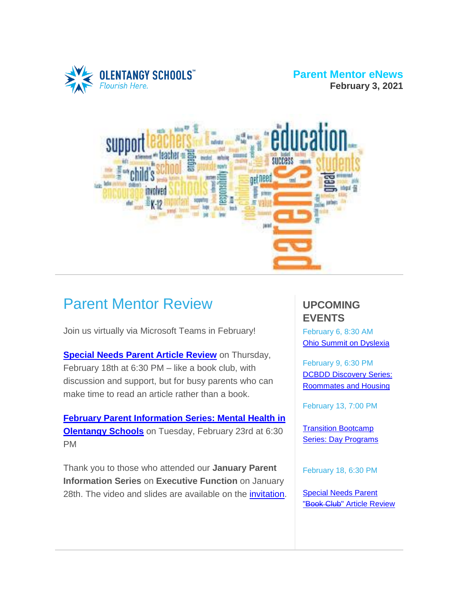

#### **Parent Mentor eNews February 3, 2021**



## Parent Mentor Review

Join us virtually via Microsoft Teams in February!

**[Special](http://drive.google.com/file/d/1vghklbFwQ08W3lRk4YdJS5rlv_-fwkdz/view?usp=sharing) Needs Parent Article Review** on Thursday, February 18th at 6:30 PM – like a book club, with discussion and support, but for busy parents who can make time to read an article rather than a book.

**February Parent [Information](https://drive.google.com/file/d/1y-DCjM-NWaO-tlS0Wv8poKH7O-Obs30v/view?usp=sharing) Series: Mental Health in [Olentangy](https://drive.google.com/file/d/1y-DCjM-NWaO-tlS0Wv8poKH7O-Obs30v/view?usp=sharing) Schools** on Tuesday, February 23rd at 6:30 PM

Thank you to those who attended our **January Parent Information Series** on **Executive Function** on January 28th. The video and slides are available on the [invitation.](https://drive.google.com/file/d/13EsYmGXHDl6kpRMP2nA7oMDrjsZS5et6/view?usp=sharing)

## **UPCOMING EVENTS**

February 6, 8:30 AM Ohio Summit on [Dyslexia](https://coh.dyslexiaida.org/event/ohio-summit-on-dyslexia-2021/)

February 9, 6:30 PM DCBDD [Discovery](https://drive.google.com/file/d/1-i33nncFIYQZ49NClZLdEMCTDqOUAplx/view?usp=sharing) Series: [Roommates](https://drive.google.com/file/d/1-i33nncFIYQZ49NClZLdEMCTDqOUAplx/view?usp=sharing) and Housing

February 13, 7:00 PM

Transition [Bootcamp](https://drive.google.com/file/d/1zJNFUEwvHzg_-XlYq9Bbw5i7oeOB_3VB/view?usp=sharing) Series: Day [Programs](https://drive.google.com/file/d/1zJNFUEwvHzg_-XlYq9Bbw5i7oeOB_3VB/view?usp=sharing)

February 18, 6:30 PM

[Special](https://drive.google.com/file/d/1vghklbFwQ08W3lRk4YdJS5rlv_-fwkdz/view?usp=sharing) Needs Parent "Book Club" Article [Review](https://drive.google.com/file/d/1vghklbFwQ08W3lRk4YdJS5rlv_-fwkdz/view?usp=sharing)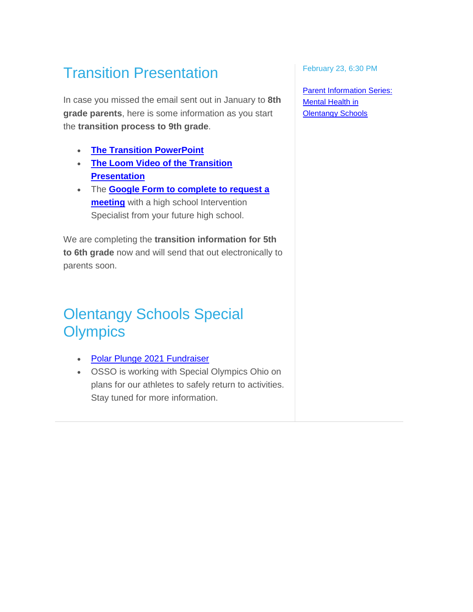# Transition Presentation

In case you missed the email sent out in January to **8th grade parents**, here is some information as you start the **transition process to 9th grade**.

- **The Transition [PowerPoint](https://drive.google.com/file/d/1holk_KGOZMWz7_3Lqsc0gi_lGpCqYblM/view?usp=sharing)**
- **The Loom Video of the [Transition](https://www.loom.com/share/b72f9bc2bf4143daa81c459dea1bb9ef) [Presentation](https://www.loom.com/share/b72f9bc2bf4143daa81c459dea1bb9ef)**
- The **Google Form to [complete](https://forms.gle/eNo7MPLyD5H2diVL9) to request a [meeting](https://forms.gle/eNo7MPLyD5H2diVL9)** with a high school Intervention Specialist from your future high school.

We are completing the **transition information for 5th to 6th grade** now and will send that out electronically to parents soon.

## Olentangy Schools Special **Olympics**

- Polar Plunge 2021 [Fundraiser](https://drive.google.com/file/d/1LW6Ytuy_XfjkZWGQ842nfuxxL4Tqfq2N/view?usp=sharing)
- OSSO is working with Special Olympics Ohio on plans for our athletes to safely return to activities. Stay tuned for more information.

February 23, 6:30 PM

Parent [Information](https://drive.google.com/file/d/1y-DCjM-NWaO-tlS0Wv8poKH7O-Obs30v/view?usp=sharing) Series: [Mental](https://drive.google.com/file/d/1y-DCjM-NWaO-tlS0Wv8poKH7O-Obs30v/view?usp=sharing) Health in **[Olentangy](https://drive.google.com/file/d/1y-DCjM-NWaO-tlS0Wv8poKH7O-Obs30v/view?usp=sharing) Schools**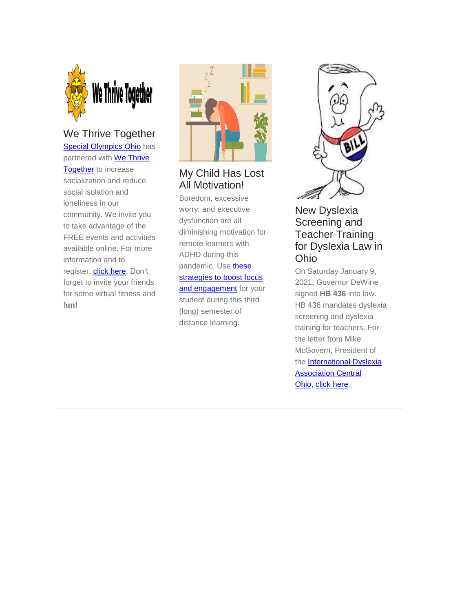

### We Thrive Together

Special [Olympics](https://sooh.org/) Ohio has partnered with We [Thrive](https://wethrivetogether.org/) [Together](https://wethrivetogether.org/) to increase socialization and reduce social isolation and loneliness in our community. We invite you to take advantage of the FREE events and activities available online. For more information and to register, **click here**. Don't forget to invite your friends for some virtual fitness and f**un!**



## My Child Has Lost All Motivation!

Boredom, excessive worry, and executive dysfunction are all diminishing motivation for remote learners with ADHD during this pandemic. Use [these](https://www.additudemag.com/distance-learning-motivation-adhd/?utm_source=eletter&utm_medium=email&utm_campaign=school_january_2021&utm_content=012021&goal=0_d9446392d6-bcfc5c1ea7-290960289) [strategies](https://www.additudemag.com/distance-learning-motivation-adhd/?utm_source=eletter&utm_medium=email&utm_campaign=school_january_2021&utm_content=012021&goal=0_d9446392d6-bcfc5c1ea7-290960289) to boost focus and [engagement](https://www.additudemag.com/distance-learning-motivation-adhd/?utm_source=eletter&utm_medium=email&utm_campaign=school_january_2021&utm_content=012021&goal=0_d9446392d6-bcfc5c1ea7-290960289) for your student during this third (long) semester of distance learning.



#### New Dyslexia Screening and Teacher Training for Dyslexia Law in Ohio

On Saturday January 9, 2021, Governor DeWine signed **HB 436** into law. HB 436 mandates dyslexia screening and dyslexia training for teachers. For the letter from Mike McGovern, President of the [International](https://coh.dyslexiaida.org/) Dyslexia [Association](https://coh.dyslexiaida.org/) Central [Ohio,](https://coh.dyslexiaida.org/) click [here.](https://drive.google.com/file/d/1-SXpIMe8NtO6XZl4aZoUPItmzo0pPbe0/view?usp=sharing)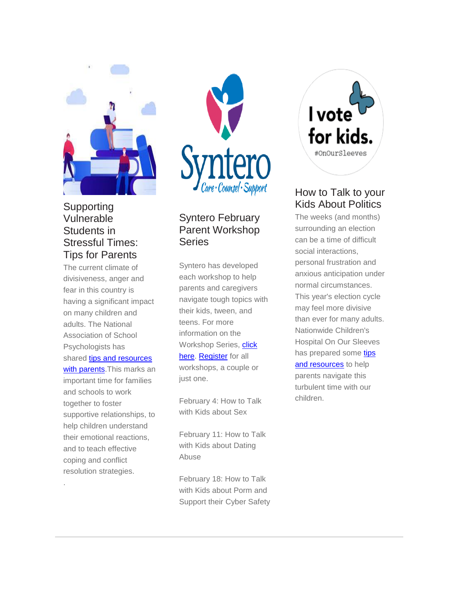

#### Supporting Vulnerable Students in Stressful Times: Tips for Parents

The current climate of divisiveness, anger and fear in this country is having a significant impact on many children and adults. The National Association of School Psychologists has shared tips and [resources](https://www.nasponline.org/x37551.xml) with [parents.](https://www.nasponline.org/x37551.xml) This marks an important time for families and schools to work together to foster supportive relationships, to help children understand their emotional reactions, and to teach effective coping and conflict resolution strategies.

.



## Syntero February Parent Workshop **Series**

Syntero has developed each workshop to help parents and caregivers navigate tough topics with their kids, tween, and teens. For more information on the Workshop Series, [click](https://drive.google.com/file/d/1Uds_MZ6TA_ZEK5OPQedQCjGWeKjRFrOP/view?usp=sharing) [here.](https://drive.google.com/file/d/1Uds_MZ6TA_ZEK5OPQedQCjGWeKjRFrOP/view?usp=sharing) [Register](https://docs.google.com/forms/d/1Bii54kQnKuOloZIDWb5h6WLIUxPtO62cKzksc2Mk8G0/viewform?edit_requested=true&fbclid=IwAR06phSiv6ch5Yp_DKhU0hfdkxpeudlnezdC4_6rC1qgI5cEpJZxjmO-xd8&edit_requested=true) for all workshops, a couple or just one.

February 4: How to Talk with Kids about Sex

February 11: How to Talk with Kids about Dating Abuse

February 18: How to Talk with Kids about Porm and Support their Cyber Safety



### How to Talk to your Kids About Politics

The weeks (and months) surrounding an election can be a time of difficult social interactions, personal frustration and anxious anticipation under normal circumstances. This year's election cycle may feel more divisive than ever for many adults. Nationwide Children's Hospital On Our Sleeves has prepared some [tips](https://www.onoursleeves.org/find-help/support/politics) and [resources](https://www.onoursleeves.org/find-help/support/politics) to help parents navigate this turbulent time with our children.